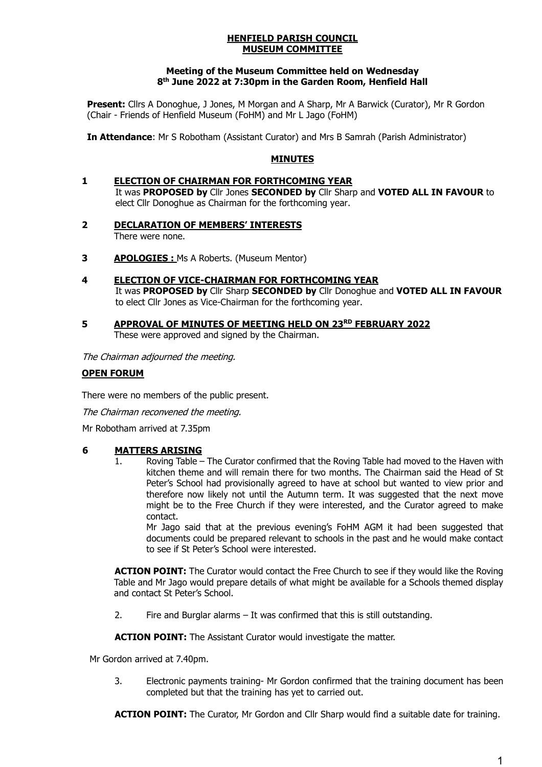#### **HENFIELD PARISH COUNCIL MUSEUM COMMITTEE**

### **Meeting of the Museum Committee held on Wednesday 8 th June 2022 at 7:30pm in the Garden Room, Henfield Hall**

**Present:** Cllrs A Donoghue, J Jones, M Morgan and A Sharp, Mr A Barwick (Curator), Mr R Gordon (Chair - Friends of Henfield Museum (FoHM) and Mr L Jago (FoHM)

**In Attendance**: Mr S Robotham (Assistant Curator) and Mrs B Samrah (Parish Administrator)

### **MINUTES**

### **1 ELECTION OF CHAIRMAN FOR FORTHCOMING YEAR** It was **PROPOSED by** Cllr Jones **SECONDED by** Cllr Sharp and **VOTED ALL IN FAVOUR** to elect Cllr Donoghue as Chairman for the forthcoming year.

- **2 DECLARATION OF MEMBERS' INTERESTS** There were none.
- **3 APOLOGIES :** Ms A Roberts. (Museum Mentor)
- **4 ELECTION OF VICE-CHAIRMAN FOR FORTHCOMING YEAR** It was **PROPOSED by** Cllr Sharp **SECONDED by** Cllr Donoghue and **VOTED ALL IN FAVOUR** to elect Cllr Jones as Vice-Chairman for the forthcoming year.
- **5 APPROVAL OF MINUTES OF MEETING HELD ON 23RD FEBRUARY 2022** These were approved and signed by the Chairman.

The Chairman adjourned the meeting.

# **OPEN FORUM**

There were no members of the public present.

The Chairman reconvened the meeting.

Mr Robotham arrived at 7.35pm

### **6 MATTERS ARISING**

Roving Table – The Curator confirmed that the Roving Table had moved to the Haven with kitchen theme and will remain there for two months. The Chairman said the Head of St Peter's School had provisionally agreed to have at school but wanted to view prior and therefore now likely not until the Autumn term. It was suggested that the next move might be to the Free Church if they were interested, and the Curator agreed to make contact.

Mr Jago said that at the previous evening's FoHM AGM it had been suggested that documents could be prepared relevant to schools in the past and he would make contact to see if St Peter's School were interested.

**ACTION POINT:** The Curator would contact the Free Church to see if they would like the Roving Table and Mr Jago would prepare details of what might be available for a Schools themed display and contact St Peter's School.

2. Fire and Burglar alarms – It was confirmed that this is still outstanding.

**ACTION POINT:** The Assistant Curator would investigate the matter.

Mr Gordon arrived at 7.40pm.

3. Electronic payments training- Mr Gordon confirmed that the training document has been completed but that the training has yet to carried out.

**ACTION POINT:** The Curator, Mr Gordon and Cllr Sharp would find a suitable date for training.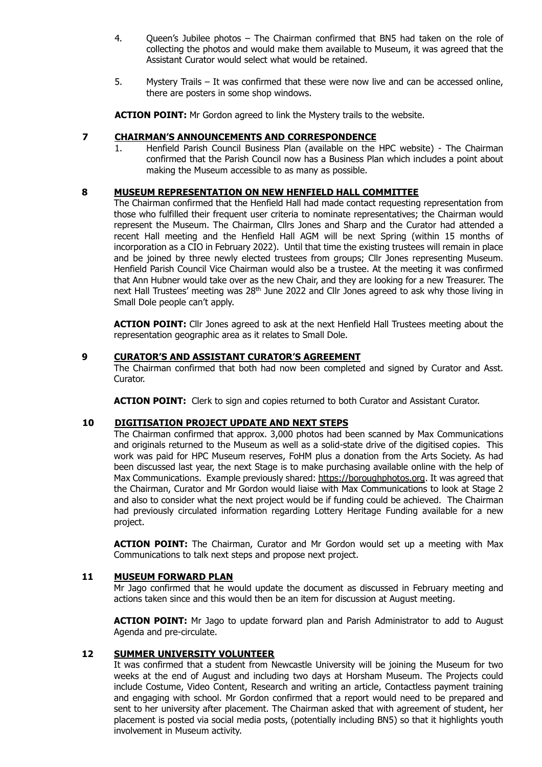- 4. Queen's Jubilee photos The Chairman confirmed that BN5 had taken on the role of collecting the photos and would make them available to Museum, it was agreed that the Assistant Curator would select what would be retained.
- 5. Mystery Trails It was confirmed that these were now live and can be accessed online, there are posters in some shop windows.

**ACTION POINT:** Mr Gordon agreed to link the Mystery trails to the website.

### **7 CHAIRMAN'S ANNOUNCEMENTS AND CORRESPONDENCE**

1. Henfield Parish Council Business Plan (available on the HPC website) - The Chairman confirmed that the Parish Council now has a Business Plan which includes a point about making the Museum accessible to as many as possible.

### **8 MUSEUM REPRESENTATION ON NEW HENFIELD HALL COMMITTEE**

The Chairman confirmed that the Henfield Hall had made contact requesting representation from those who fulfilled their frequent user criteria to nominate representatives; the Chairman would represent the Museum. The Chairman, Cllrs Jones and Sharp and the Curator had attended a recent Hall meeting and the Henfield Hall AGM will be next Spring (within 15 months of incorporation as a CIO in February 2022). Until that time the existing trustees will remain in place and be joined by three newly elected trustees from groups; Cllr Jones representing Museum. Henfield Parish Council Vice Chairman would also be a trustee. At the meeting it was confirmed that Ann Hubner would take over as the new Chair, and they are looking for a new Treasurer. The next Hall Trustees' meeting was 28<sup>th</sup> June 2022 and Cllr Jones agreed to ask why those living in Small Dole people can't apply.

**ACTION POINT:** Cllr Jones agreed to ask at the next Henfield Hall Trustees meeting about the representation geographic area as it relates to Small Dole.

### **9 CURATOR'S AND ASSISTANT CURATOR'S AGREEMENT**

The Chairman confirmed that both had now been completed and signed by Curator and Asst. Curator.

**ACTION POINT:** Clerk to sign and copies returned to both Curator and Assistant Curator.

### **10 DIGITISATION PROJECT UPDATE AND NEXT STEPS**

The Chairman confirmed that approx. 3,000 photos had been scanned by Max Communications and originals returned to the Museum as well as a solid-state drive of the digitised copies. This work was paid for HPC Museum reserves, FoHM plus a donation from the Arts Society. As had been discussed last year, the next Stage is to make purchasing available online with the help of Max Communications. Example previously shared: [https://boroughphotos.org.](https://boroughphotos.org/) It was agreed that the Chairman, Curator and Mr Gordon would liaise with Max Communications to look at Stage 2 and also to consider what the next project would be if funding could be achieved. The Chairman had previously circulated information regarding Lottery Heritage Funding available for a new project.

**ACTION POINT:** The Chairman, Curator and Mr Gordon would set up a meeting with Max Communications to talk next steps and propose next project.

#### **11 MUSEUM FORWARD PLAN**

Mr Jago confirmed that he would update the document as discussed in February meeting and actions taken since and this would then be an item for discussion at August meeting.

**ACTION POINT:** Mr Jago to update forward plan and Parish Administrator to add to August Agenda and pre-circulate.

### **12 SUMMER UNIVERSITY VOLUNTEER**

It was confirmed that a student from Newcastle University will be joining the Museum for two weeks at the end of August and including two days at Horsham Museum. The Projects could include Costume, Video Content, Research and writing an article, Contactless payment training and engaging with school. Mr Gordon confirmed that a report would need to be prepared and sent to her university after placement. The Chairman asked that with agreement of student, her placement is posted via social media posts, (potentially including BN5) so that it highlights youth involvement in Museum activity.